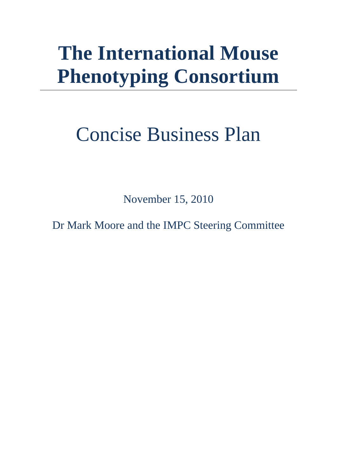# **The International Mouse Phenotyping Consortium**

# Concise Business Plan

November 15, 2010

Dr Mark Moore and the IMPC Steering Committee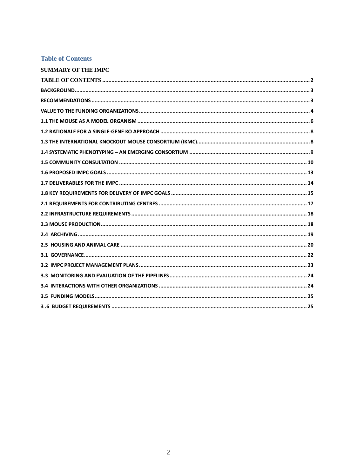#### **Table of Contents**

| <b>SUMMARY OF THE IMPC</b> |  |
|----------------------------|--|
|                            |  |
|                            |  |
|                            |  |
|                            |  |
|                            |  |
|                            |  |
|                            |  |
|                            |  |
|                            |  |
|                            |  |
|                            |  |
|                            |  |
|                            |  |
|                            |  |
|                            |  |
|                            |  |
|                            |  |
|                            |  |
|                            |  |
|                            |  |
|                            |  |
|                            |  |
|                            |  |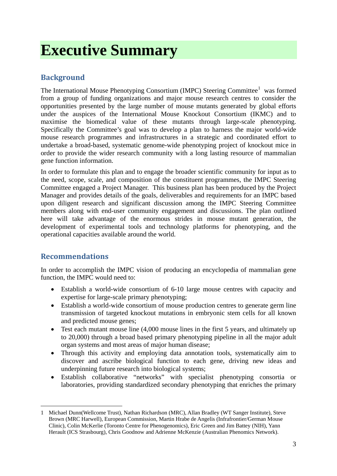# **Executive Summary**

# **Background**

The International Mouse Phenotyping Consortium (IMPC) Steering Committee<sup>[1](#page-2-0)</sup> was formed from a group of funding organizations and major mouse research centres to consider the opportunities presented by the large number of mouse mutants generated by global efforts under the auspices of the International Mouse Knockout Consortium (IKMC) and to maximise the biomedical value of these mutants through large-scale phenotyping. Specifically the Committee's goal was to develop a plan to harness the major world-wide mouse research programmes and infrastructures in a strategic and coordinated effort to undertake a broad-based, systematic genome-wide phenotyping project of knockout mice in order to provide the wider research community with a long lasting resource of mammalian gene function information.

In order to formulate this plan and to engage the broader scientific community for input as to the need, scope, scale, and composition of the constituent programmes, the IMPC Steering Committee engaged a Project Manager. This business plan has been produced by the Project Manager and provides details of the goals, deliverables and requirements for an IMPC based upon diligent research and significant discussion among the IMPC Steering Committee members along with end-user community engagement and discussions. The plan outlined here will take advantage of the enormous strides in mouse mutant generation, the development of experimental tools and technology platforms for phenotyping, and the operational capacities available around the world.

# **Recommendations**

In order to accomplish the IMPC vision of producing an encyclopedia of mammalian gene function, the IMPC would need to:

- Establish a world-wide consortium of 6-10 large mouse centres with capacity and expertise for large-scale primary phenotyping;
- Establish a world-wide consortium of mouse production centres to generate germ line transmission of targeted knockout mutations in embryonic stem cells for all known and predicted mouse genes;
- Test each mutant mouse line (4,000 mouse lines in the first 5 years, and ultimately up to 20,000) through a broad based primary phenotyping pipeline in all the major adult organ systems and most areas of major human disease;
- Through this activity and employing data annotation tools, systematically aim to discover and ascribe biological function to each gene, driving new ideas and underpinning future research into biological systems;
- Establish collaborative "networks" with specialist phenotyping consortia or laboratories, providing standardized secondary phenotyping that enriches the primary

<span id="page-2-0"></span><sup>-</sup>1 Michael Dunn(Wellcome Trust), Nathan Richardson (MRC), Allan Bradley (WT Sanger Institute), Steve Brown (MRC Harwell), European Commission, Martin Hrabe de Angelis (Infrafrontier/German Mouse Clinic), Colin McKerlie (Toronto Centre for Phenogenomics), Eric Green and Jim Battey (NIH), Yann Herault (ICS Strasbourg), Chris Goodnow and Adrienne McKenzie (Australian Phenomics Network).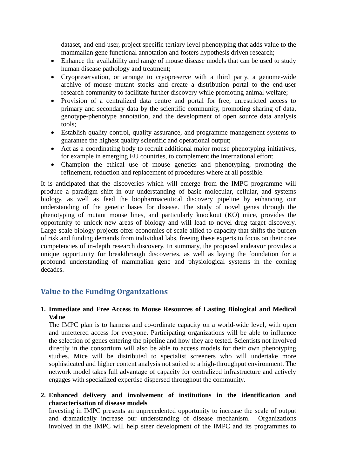dataset, and end-user, project specific tertiary level phenotyping that adds value to the mammalian gene functional annotation and fosters hypothesis driven research;

- Enhance the availability and range of mouse disease models that can be used to study human disease pathology and treatment;
- Cryopreservation, or arrange to cryopreserve with a third party, a genome-wide archive of mouse mutant stocks and create a distribution portal to the end-user research community to facilitate further discovery while promoting animal welfare;
- Provision of a centralized data centre and portal for free, unrestricted access to primary and secondary data by the scientific community, promoting sharing of data, genotype-phenotype annotation, and the development of open source data analysis tools;
- Establish quality control, quality assurance, and programme management systems to guarantee the highest quality scientific and operational output;
- Act as a coordinating body to recruit additional major mouse phenotyping initiatives, for example in emerging EU countries, to complement the international effort;
- Champion the ethical use of mouse genetics and phenotyping, promoting the refinement, reduction and replacement of procedures where at all possible.

It is anticipated that the discoveries which will emerge from the IMPC programme will produce a paradigm shift in our understanding of basic molecular, cellular, and systems biology, as well as feed the biopharmaceutical discovery pipeline by enhancing our understanding of the genetic bases for disease. The study of novel genes through the phenotyping of mutant mouse lines, and particularly knockout (KO) mice, provides the opportunity to unlock new areas of biology and will lead to novel drug target discovery. Large-scale biology projects offer economies of scale allied to capacity that shifts the burden of risk and funding demands from individual labs, freeing these experts to focus on their core competencies of in-depth research discovery. In summary, the proposed endeavor provides a unique opportunity for breakthrough discoveries, as well as laying the foundation for a profound understanding of mammalian gene and physiological systems in the coming decades.

# **Value to the Funding Organizations**

#### **1. Immediate and Free Access to Mouse Resources of Lasting Biological and Medical Value**

The IMPC plan is to harness and co-ordinate capacity on a world-wide level, with open and unfettered access for everyone. Participating organizations will be able to influence the selection of genes entering the pipeline and how they are tested. Scientists not involved directly in the consortium will also be able to access models for their own phenotyping studies. Mice will be distributed to specialist screeners who will undertake more sophisticated and higher content analysis not suited to a high-throughput environment. The network model takes full advantage of capacity for centralized infrastructure and actively engages with specialized expertise dispersed throughout the community.

#### **2. Enhanced delivery and involvement of institutions in the identification and characterisation of disease models**

Investing in IMPC presents an unprecedented opportunity to increase the scale of output and dramatically increase our understanding of disease mechanism. Organizations involved in the IMPC will help steer development of the IMPC and its programmes to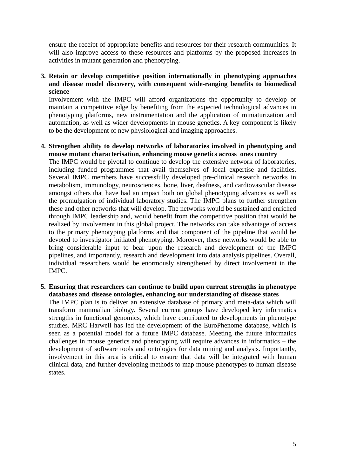ensure the receipt of appropriate benefits and resources for their research communities. It will also improve access to these resources and platforms by the proposed increases in activities in mutant generation and phenotyping.

#### **3. Retain or develop competitive position internationally in phenotyping approaches and disease model discovery, with consequent wide-ranging benefits to biomedical science**

Involvement with the IMPC will afford organizations the opportunity to develop or maintain a competitive edge by benefiting from the expected technological advances in phenotyping platforms, new instrumentation and the application of miniaturization and automation, as well as wider developments in mouse genetics. A key component is likely to be the development of new physiological and imaging approaches.

#### **4. Strengthen ability to develop networks of laboratories involved in phenotyping and mouse mutant characterisation, enhancing mouse genetics across ones country**

The IMPC would be pivotal to continue to develop the extensive network of laboratories, including funded programmes that avail themselves of local expertise and facilities. Several IMPC members have successfully developed pre-clinical research networks in metabolism, immunology, neurosciences, bone, liver, deafness, and cardiovascular disease amongst others that have had an impact both on global phenotyping advances as well as the promulgation of individual laboratory studies. The IMPC plans to further strengthen these and other networks that will develop. The networks would be sustained and enriched through IMPC leadership and, would benefit from the competitive position that would be realized by involvement in this global project. The networks can take advantage of access to the primary phenotyping platforms and that component of the pipeline that would be devoted to investigator initiated phenotyping. Moreover, these networks would be able to bring considerable input to bear upon the research and development of the IMPC pipelines, and importantly, research and development into data analysis pipelines. Overall, individual researchers would be enormously strengthened by direct involvement in the IMPC.

#### **5. Ensuring that researchers can continue to build upon current strengths in phenotype databases and disease ontologies, enhancing our understanding of disease states**

The IMPC plan is to deliver an extensive database of primary and meta-data which will transform mammalian biology. Several current groups have developed key informatics strengths in functional genomics, which have contributed to developments in phenotype studies. MRC Harwell has led the development of the EuroPhenome database, which is seen as a potential model for a future IMPC database. Meeting the future informatics challenges in mouse genetics and phenotyping will require advances in informatics – the development of software tools and ontologies for data mining and analysis. Importantly, involvement in this area is critical to ensure that data will be integrated with human clinical data, and further developing methods to map mouse phenotypes to human disease states.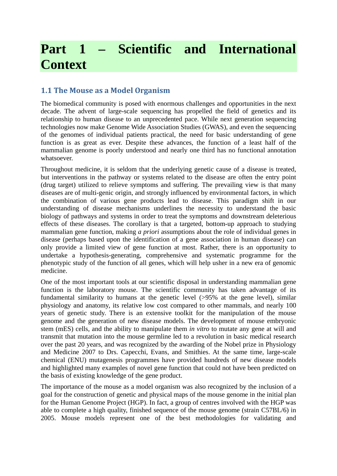# **Part 1 – Scientific and International Context**

# **1.1 The Mouse as a Model Organism**

The biomedical community is posed with enormous challenges and opportunities in the next decade. The advent of large-scale sequencing has propelled the field of genetics and its relationship to human disease to an unprecedented pace. While next generation sequencing technologies now make Genome Wide Association Studies (GWAS), and even the sequencing of the genomes of individual patients practical, the need for basic understanding of gene function is as great as ever. Despite these advances, the function of a least half of the mammalian genome is poorly understood and nearly one third has no functional annotation whatsoever.

Throughout medicine, it is seldom that the underlying genetic cause of a disease is treated, but interventions in the pathway or systems related to the disease are often the entry point (drug target) utilized to relieve symptoms and suffering. The prevailing view is that many diseases are of multi-genic origin, and strongly influenced by environmental factors, in which the combination of various gene products lead to disease. This paradigm shift in our understanding of disease mechanisms underlines the necessity to understand the basic biology of pathways and systems in order to treat the symptoms and downstream deleterious effects of these diseases. The corollary is that a targeted, bottom-up approach to studying mammalian gene function, making *a priori* assumptions about the role of individual genes in disease (perhaps based upon the identification of a gene association in human disease) can only provide a limited view of gene function at most. Rather, there is an opportunity to undertake a hypothesis-generating, comprehensive and systematic programme for the phenotypic study of the function of all genes, which will help usher in a new era of genomic medicine.

One of the most important tools at our scientific disposal in understanding mammalian gene function is the laboratory mouse. The scientific community has taken advantage of its fundamental similarity to humans at the genetic level  $(>95\%$  at the gene level), similar physiology and anatomy, its relative low cost compared to other mammals, and nearly 100 years of genetic study. There is an extensive toolkit for the manipulation of the mouse genome and the generation of new disease models. The development of mouse embryonic stem (mES) cells, and the ability to manipulate them *in vitro* to mutate any gene at will and transmit that mutation into the mouse germline led to a revolution in basic medical research over the past 20 years, and was recognized by the awarding of the Nobel prize in Physiology and Medicine 2007 to Drs. Capecchi, Evans, and Smithies. At the same time, large-scale chemical (ENU) mutagenesis programmes have provided hundreds of new disease models and highlighted many examples of novel gene function that could not have been predicted on the basis of existing knowledge of the gene product.

The importance of the mouse as a model organism was also recognized by the inclusion of a goal for the construction of genetic and physical maps of the mouse genome in the initial plan for the Human Genome Project (HGP). In fact, a group of centres involved with the HGP was able to complete a high quality, finished sequence of the mouse genome (strain C57BL/6) in 2005. Mouse models represent one of the best methodologies for validating and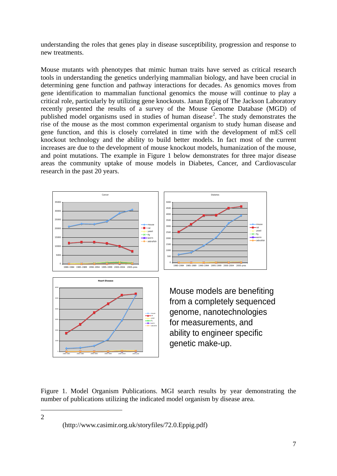understanding the roles that genes play in disease susceptibility, progression and response to new treatments.

Mouse mutants with phenotypes that mimic human traits have served as critical research tools in understanding the genetics underlying mammalian biology, and have been crucial in determining gene function and pathway interactions for decades. As genomics moves from gene identification to mammalian functional genomics the mouse will continue to play a critical role, particularly by utilizing gene knockouts. Janan Eppig of The Jackson Laboratory recently presented the results of a survey of the Mouse Genome Database (MGD) of published model organisms used in studies of human disease<sup>[2](#page-6-0)</sup>. The study demonstrates the rise of the mouse as the most common experimental organism to study human disease and gene function, and this is closely correlated in time with the development of mES cell knockout technology and the ability to build better models. In fact most of the current increases are due to the development of mouse knockout models, humanization of the mouse, and point mutations. The example in Figure 1 below demonstrates for three major disease areas the community uptake of mouse models in Diabetes, Cancer, and Cardiovascular research in the past 20 years.



Figure 1. Model Organism Publications. MGI search results by year demonstrating the number of publications utilizing the indicated model organism by disease area.

<u>.</u>

<span id="page-6-0"></span>2

 <sup>(</sup>http://www.casimir.org.uk/storyfiles/72.0.Eppig.pdf)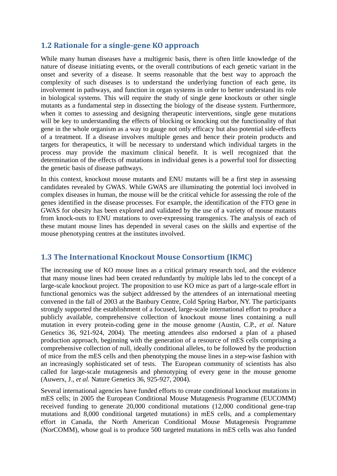# **1.2 Rationale for a single-gene KO approach**

While many human diseases have a multigenic basis, there is often little knowledge of the nature of disease initiating events, or the overall contributions of each genetic variant in the onset and severity of a disease. It seems reasonable that the best way to approach the complexity of such diseases is to understand the underlying function of each gene, its involvement in pathways, and function in organ systems in order to better understand its role in biological systems. This will require the study of single gene knockouts or other single mutants as a fundamental step in dissecting the biology of the disease system. Furthermore, when it comes to assessing and designing therapeutic interventions, single gene mutations will be key to understanding the effects of blocking or knocking out the functionality of that gene in the whole organism as a way to gauge not only efficacy but also potential side-effects of a treatment. If a disease involves multiple genes and hence their protein products and targets for therapeutics, it will be necessary to understand which individual targets in the process may provide the maximum clinical benefit. It is well recognized that the determination of the effects of mutations in individual genes is a powerful tool for dissecting the genetic basis of disease pathways.

In this context, knockout mouse mutants and ENU mutants will be a first step in assessing candidates revealed by GWAS. While GWAS are illuminating the potential loci involved in complex diseases in human, the mouse will be the critical vehicle for assessing the role of the genes identified in the disease processes. For example, the identification of the FTO gene in GWAS for obesity has been explored and validated by the use of a variety of mouse mutants from knock-outs to ENU mutations to over-expressing transgenics. The analysis of each of these mutant mouse lines has depended in several cases on the skills and expertise of the mouse phenotyping centres at the institutes involved.

# **1.3 The International Knockout Mouse Consortium (IKMC)**

The increasing use of KO mouse lines as a critical primary research tool, and the evidence that many mouse lines had been created redundantly by multiple labs led to the concept of a large-scale knockout project. The proposition to use KO mice as part of a large-scale effort in functional genomics was the subject addressed by the attendees of an international meeting convened in the fall of 2003 at the Banbury Centre, Cold Spring Harbor, NY. The participants strongly supported the establishment of a focused, large-scale international effort to produce a publicly available, comprehensive collection of knockout mouse lines containing a null mutation in every protein-coding gene in the mouse genome (Austin, C.P., *et al.* Nature Genetics 36, 921-924, 2004). The meeting attendees also endorsed a plan of a phased production approach, beginning with the generation of a resource of mES cells comprising a comprehensive collection of null, ideally conditional alleles, to be followed by the production of mice from the mES cells and then phenotyping the mouse lines in a step-wise fashion with an increasingly sophisticated set of tests. The European community of scientists has also called for large-scale mutagenesis and phenotyping of every gene in the mouse genome (Auwerx, J., *et al.* Nature Genetics 36, 925-927, 2004).

Several international agencies have funded efforts to create conditional knockout mutations in mES cells; in 2005 the European Conditional Mouse Mutagenesis Programme (EUCOMM) received funding to generate 20,000 conditional mutations (12,000 conditional gene-trap mutations and 8,000 conditional targeted mutations) in mES cells, and a complementary effort in Canada, the North American Conditional Mouse Mutagenesis Programme (NorCOMM), whose goal is to produce 500 targeted mutations in mES cells was also funded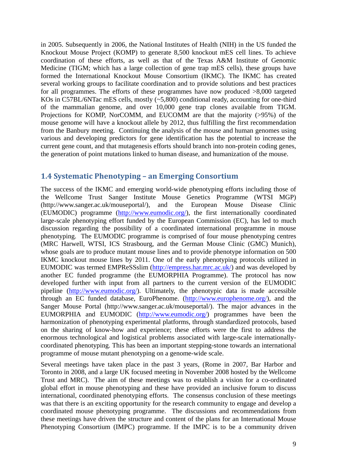in 2005. Subsequently in 2006, the National Institutes of Health (NIH) in the US funded the Knockout Mouse Project (KOMP) to generate 8,500 knockout mES cell lines. To achieve coordination of these efforts, as well as that of the Texas A&M Institute of Genomic Medicine (TIGM; which has a large collection of gene trap mES cells), these groups have formed the International Knockout Mouse Consortium (IKMC). The IKMC has created several working groups to facilitate coordination and to provide solutions and best practices for all programmes. The efforts of these programmes have now produced >8,000 targeted KOs in C57BL/6NTac mES cells, mostly (~5,800) conditional ready, accounting for one-third of the mammalian genome, and over 10,000 gene trap clones available from TIGM. Projections for KOMP, NorCOMM, and EUCOMM are that the majority (>95%) of the mouse genome will have a knockout allele by 2012, thus fulfilling the first recommendation from the Banbury meeting. Continuing the analysis of the mouse and human genomes using various and developing predictors for gene identification has the potential to increase the current gene count, and that mutagenesis efforts should branch into non-protein coding genes, the generation of point mutations linked to human disease, and humanization of the mouse.

### **1.4 Systematic Phenotyping – an Emerging Consortium**

The success of the IKMC and emerging world-wide phenotyping efforts including those of the Wellcome Trust Sanger Institute Mouse Genetics Programme (WTSI MGP) (http://www.sanger.ac.uk/mouseportal/), and the European Mouse Disease Clinic (EUMODIC) programme [\(http://www.eumodic.org/\)](http://www.eumodic.org/), the first internationally coordinated large-scale phenotyping effort funded by the European Commission (EC), has led to much discussion regarding the possibility of a coordinated international programme in mouse phenotyping. The EUMODIC programme is comprised of four mouse phenotyping centres (MRC Harwell, WTSI, ICS Strasbourg, and the German Mouse Clinic (GMC) Munich), whose goals are to produce mutant mouse lines and to provide phenotype information on 500 IKMC knockout mouse lines by 2011. One of the early phenotyping protocols utilized in EUMODIC was termed EMPReSSslim [\(http://empress.har.mrc.ac.uk/\)](http://empress.har.mrc.ac.uk/) and was developed by another EC funded programme (the EUMORPHIA Programme). The protocol has now developed further with input from all partners to the current version of the EUMODIC pipeline [\(http://www.eumodic.org/\)](http://www.eumodic.org/). Ultimately, the phenotypic data is made accessible through an EC funded database, EuroPhenome. [\(http://www.europhenome.org/\)](http://www.europhenome.org/), and the Sanger Mouse Portal (http://www.sanger.ac.uk/mouseportal/). The major advances in the EUMORPHIA and EUMODIC [\(http://www.eumodic.org/\)](http://www.eumodic.org/) programmes have been the harmonization of phenotyping experimental platforms, through standardized protocols, based on the sharing of know-how and experience; these efforts were the first to address the enormous technological and logistical problems associated with large-scale internationallycoordinated phenotyping. This has been an important stepping-stone towards an international programme of mouse mutant phenotyping on a genome-wide scale.

Several meetings have taken place in the past 3 years, (Rome in 2007, Bar Harbor and Toronto in 2008, and a large UK focused meeting in November 2008 hosted by the Wellcome Trust and MRC). The aim of these meetings was to establish a vision for a co-ordinated global effort in mouse phenotyping and these have provided an inclusive forum to discuss international, coordinated phenotyping efforts. The consensus conclusion of these meetings was that there is an exciting opportunity for the research community to engage and develop a coordinated mouse phenotyping programme. The discussions and recommendations from these meetings have driven the structure and content of the plans for an International Mouse Phenotyping Consortium (IMPC) programme. If the IMPC is to be a community driven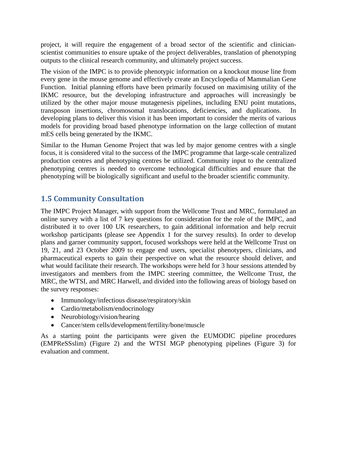project, it will require the engagement of a broad sector of the scientific and clinicianscientist communities to ensure uptake of the project deliverables, translation of phenotyping outputs to the clinical research community, and ultimately project success.

The vision of the IMPC is to provide phenotypic information on a knockout mouse line from every gene in the mouse genome and effectively create an Encyclopedia of Mammalian Gene Function. Initial planning efforts have been primarily focused on maximising utility of the IKMC resource, but the developing infrastructure and approaches will increasingly be utilized by the other major mouse mutagenesis pipelines, including ENU point mutations, transposon insertions, chromosomal translocations, deficiencies, and duplications. In developing plans to deliver this vision it has been important to consider the merits of various models for providing broad based phenotype information on the large collection of mutant mES cells being generated by the IKMC.

Similar to the Human Genome Project that was led by major genome centres with a single focus, it is considered vital to the success of the IMPC programme that large-scale centralized production centres and phenotyping centres be utilized. Community input to the centralized phenotyping centres is needed to overcome technological difficulties and ensure that the phenotyping will be biologically significant and useful to the broader scientific community.

# **1.5 Community Consultation**

The IMPC Project Manager, with support from the Wellcome Trust and MRC, formulated an online survey with a list of 7 key questions for consideration for the role of the IMPC, and distributed it to over 100 UK researchers, to gain additional information and help recruit workshop participants (please see Appendix 1 for the survey results). In order to develop plans and garner community support, focused workshops were held at the Wellcome Trust on 19, 21, and 23 October 2009 to engage end users, specialist phenotypers, clinicians, and pharmaceutical experts to gain their perspective on what the resource should deliver, and what would facilitate their research. The workshops were held for 3 hour sessions attended by investigators and members from the IMPC steering committee, the Wellcome Trust, the MRC, the WTSI, and MRC Harwell, and divided into the following areas of biology based on the survey responses:

- Immunology/infectious disease/respiratory/skin
- Cardio/metabolism/endocrinology
- Neurobiology/vision/hearing
- Cancer/stem cells/development/fertility/bone/muscle

As a starting point the participants were given the EUMODIC pipeline procedures (EMPReSSslim) (Figure 2) and the WTSI MGP phenotyping pipelines (Figure 3) for evaluation and comment.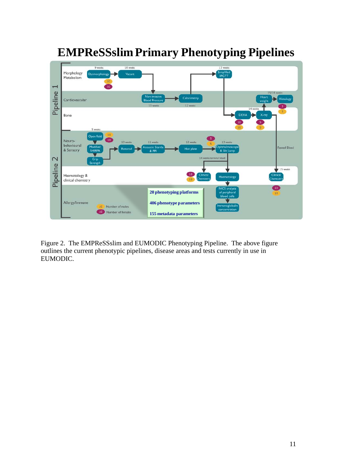

# **EMPReSSslim Primary Phenotyping Pipelines**

Figure 2. The EMPReSSslim and EUMODIC Phenotyping Pipeline. The above figure outlines the current phenotypic pipelines, disease areas and tests currently in use in EUMODIC.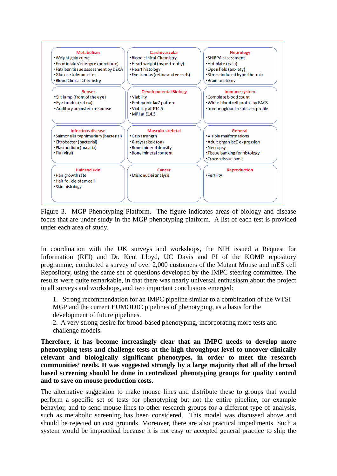

Figure 3. MGP Phenotyping Platform. The figure indicates areas of biology and disease focus that are under study in the MGP phenotyping platform. A list of each test is provided under each area of study.

In coordination with the UK surveys and workshops, the NIH issued a Request for Information (RFI) and Dr. Kent Lloyd, UC Davis and PI of the KOMP repository programme, conducted a survey of over 2,000 customers of the Mutant Mouse and mES cell Repository, using the same set of questions developed by the IMPC steering committee. The results were quite remarkable, in that there was nearly universal enthusiasm about the project in all surveys and workshops, and two important conclusions emerged:

1. Strong recommendation for an IMPC pipeline similar to a combination of the WTSI MGP and the current EUMODIC pipelines of phenotyping, as a basis for the development of future pipelines.

2. A very strong desire for broad-based phenotyping, incorporating more tests and challenge models.

**Therefore, it has become increasingly clear that an IMPC needs to develop more phenotyping tests and challenge tests at the high throughput level to uncover clinically relevant and biologically significant phenotypes, in order to meet the research communities' needs. It was suggested strongly by a large majority that all of the broad based screening should be done in centralized phenotyping groups for quality control and to save on mouse production costs.** 

The alternative suggestion to make mouse lines and distribute these to groups that would perform a specific set of tests for phenotyping but not the entire pipeline, for example behavior, and to send mouse lines to other research groups for a different type of analysis, such as metabolic screening has been considered. This model was discussed above and should be rejected on cost grounds. Moreover, there are also practical impediments. Such a system would be impractical because it is not easy or accepted general practice to ship the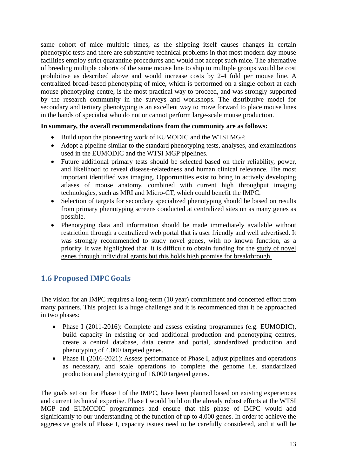same cohort of mice multiple times, as the shipping itself causes changes in certain phenotypic tests and there are substantive technical problems in that most modern day mouse facilities employ strict quarantine procedures and would not accept such mice. The alternative of breeding multiple cohorts of the same mouse line to ship to multiple groups would be cost prohibitive as described above and would increase costs by 2-4 fold per mouse line. A centralized broad-based phenotyping of mice, which is performed on a single cohort at each mouse phenotyping centre, is the most practical way to proceed, and was strongly supported by the research community in the surveys and workshops. The distributive model for secondary and tertiary phenotyping is an excellent way to move forward to place mouse lines in the hands of specialist who do not or cannot perform large-scale mouse production.

#### **In summary, the overall recommendations from the community are as follows:**

- Build upon the pioneering work of EUMODIC and the WTSI MGP.
- Adopt a pipeline similar to the standard phenotyping tests, analyses, and examinations used in the EUMODIC and the WTSI MGP pipelines.
- Future additional primary tests should be selected based on their reliability, power, and likelihood to reveal disease-relatedness and human clinical relevance. The most important identified was imaging. Opportunities exist to bring in actively developing atlases of mouse anatomy, combined with current high throughput imaging technologies, such as MRI and Micro-CT, which could benefit the IMPC.
- Selection of targets for secondary specialized phenotyping should be based on results from primary phenotyping screens conducted at centralized sites on as many genes as possible.
- Phenotyping data and information should be made immediately available without restriction through a centralized web portal that is user friendly and well advertised. It was strongly recommended to study novel genes, with no known function, as a priority. It was highlighted that it is difficult to obtain funding for the study of novel genes through individual grants but this holds high promise for breakthrough

# **1.6 Proposed IMPC Goals**

The vision for an IMPC requires a long-term (10 year) commitment and concerted effort from many partners. This project is a huge challenge and it is recommended that it be approached in two phases:

- Phase I (2011-2016): Complete and assess existing programmes (e.g. EUMODIC), build capacity in existing or add additional production and phenotyping centres, create a central database, data centre and portal, standardized production and phenotyping of 4,000 targeted genes.
- Phase II (2016-2021): Assess performance of Phase I, adjust pipelines and operations as necessary, and scale operations to complete the genome i.e. standardized production and phenotyping of 16,000 targeted genes.

The goals set out for Phase I of the IMPC, have been planned based on existing experiences and current technical expertise. Phase I would build on the already robust efforts at the WTSI MGP and EUMODIC programmes and ensure that this phase of IMPC would add significantly to our understanding of the function of up to 4,000 genes. In order to achieve the aggressive goals of Phase I, capacity issues need to be carefully considered, and it will be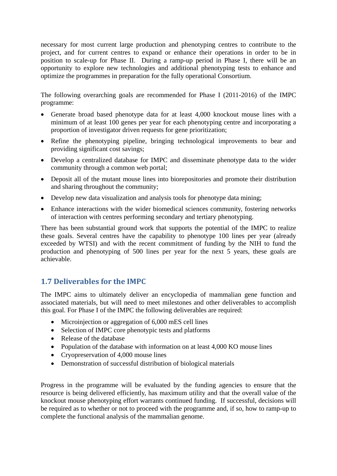necessary for most current large production and phenotyping centres to contribute to the project, and for current centres to expand or enhance their operations in order to be in position to scale-up for Phase II. During a ramp-up period in Phase I, there will be an opportunity to explore new technologies and additional phenotyping tests to enhance and optimize the programmes in preparation for the fully operational Consortium.

The following overarching goals are recommended for Phase I (2011-2016) of the IMPC programme:

- Generate broad based phenotype data for at least 4,000 knockout mouse lines with a minimum of at least 100 genes per year for each phenotyping centre and incorporating a proportion of investigator driven requests for gene prioritization;
- Refine the phenotyping pipeline, bringing technological improvements to bear and providing significant cost savings;
- Develop a centralized database for IMPC and disseminate phenotype data to the wider community through a common web portal;
- Deposit all of the mutant mouse lines into biorepositories and promote their distribution and sharing throughout the community;
- Develop new data visualization and analysis tools for phenotype data mining;
- Enhance interactions with the wider biomedical sciences community, fostering networks of interaction with centres performing secondary and tertiary phenotyping.

There has been substantial ground work that supports the potential of the IMPC to realize these goals. Several centres have the capability to phenotype 100 lines per year (already exceeded by WTSI) and with the recent commitment of funding by the NIH to fund the production and phenotyping of 500 lines per year for the next 5 years, these goals are achievable.

# **1.7 Deliverables for the IMPC**

The IMPC aims to ultimately deliver an encyclopedia of mammalian gene function and associated materials, but will need to meet milestones and other deliverables to accomplish this goal. For Phase I of the IMPC the following deliverables are required:

- Microinjection or aggregation of 6,000 mES cell lines
- Selection of IMPC core phenotypic tests and platforms
- Release of the database
- Population of the database with information on at least 4,000 KO mouse lines
- Cryopreservation of 4,000 mouse lines
- Demonstration of successful distribution of biological materials

Progress in the programme will be evaluated by the funding agencies to ensure that the resource is being delivered efficiently, has maximum utility and that the overall value of the knockout mouse phenotyping effort warrants continued funding. If successful, decisions will be required as to whether or not to proceed with the programme and, if so, how to ramp-up to complete the functional analysis of the mammalian genome.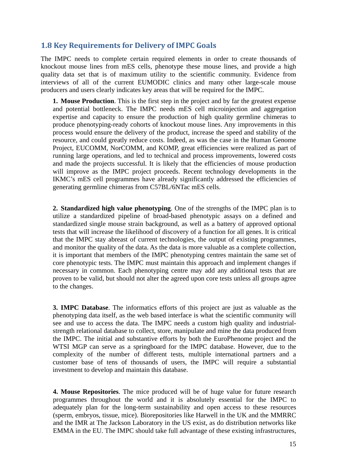# **1.8 Key Requirements for Delivery of IMPC Goals**

The IMPC needs to complete certain required elements in order to create thousands of knockout mouse lines from mES cells, phenotype these mouse lines, and provide a high quality data set that is of maximum utility to the scientific community. Evidence from interviews of all of the current EUMODIC clinics and many other large-scale mouse producers and users clearly indicates key areas that will be required for the IMPC.

**1. Mouse Production**. This is the first step in the project and by far the greatest expense and potential bottleneck. The IMPC needs mES cell microinjection and aggregation expertise and capacity to ensure the production of high quality germline chimeras to produce phenotyping-ready cohorts of knockout mouse lines. Any improvements in this process would ensure the delivery of the product, increase the speed and stability of the resource, and could greatly reduce costs. Indeed, as was the case in the Human Genome Project, EUCOMM, NorCOMM, and KOMP, great efficiencies were realized as part of running large operations, and led to technical and process improvements, lowered costs and made the projects successful. It is likely that the efficiencies of mouse production will improve as the IMPC project proceeds. Recent technology developments in the IKMC's mES cell programmes have already significantly addressed the efficiencies of generating germline chimeras from C57BL/6NTac mES cells.

**2. Standardized high value phenotyping**. One of the strengths of the IMPC plan is to utilize a standardized pipeline of broad-based phenotypic assays on a defined and standardized single mouse strain background, as well as a battery of approved optional tests that will increase the likelihood of discovery of a function for all genes. It is critical that the IMPC stay abreast of current technologies, the output of existing programmes, and monitor the quality of the data. As the data is more valuable as a complete collection, it is important that members of the IMPC phenotyping centres maintain the same set of core phenotypic tests. The IMPC must maintain this approach and implement changes if necessary in common. Each phenotyping centre may add any additional tests that are proven to be valid, but should not alter the agreed upon core tests unless all groups agree to the changes.

**3. IMPC Database**. The informatics efforts of this project are just as valuable as the phenotyping data itself, as the web based interface is what the scientific community will see and use to access the data. The IMPC needs a custom high quality and industrialstrength relational database to collect, store, manipulate and mine the data produced from the IMPC. The initial and substantive efforts by both the EuroPhenome project and the WTSI MGP can serve as a springboard for the IMPC database. However, due to the complexity of the number of different tests, multiple international partners and a customer base of tens of thousands of users, the IMPC will require a substantial investment to develop and maintain this database.

**4. Mouse Repositories**. The mice produced will be of huge value for future research programmes throughout the world and it is absolutely essential for the IMPC to adequately plan for the long-term sustainability and open access to these resources (sperm, embryos, tissue, mice). Biorepositories like Harwell in the UK and the MMRRC and the IMR at The Jackson Laboratory in the US exist, as do distribution networks like EMMA in the EU. The IMPC should take full advantage of these existing infrastructures,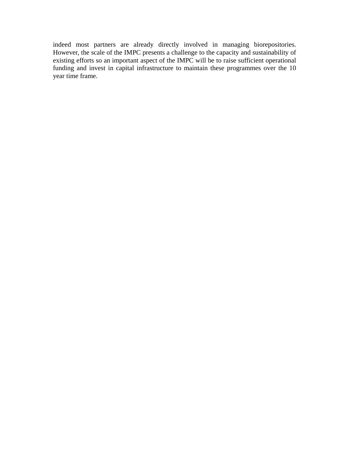indeed most partners are already directly involved in managing biorepositories. However, the scale of the IMPC presents a challenge to the capacity and sustainability of existing efforts so an important aspect of the IMPC will be to raise sufficient operational funding and invest in capital infrastructure to maintain these programmes over the 10 year time frame.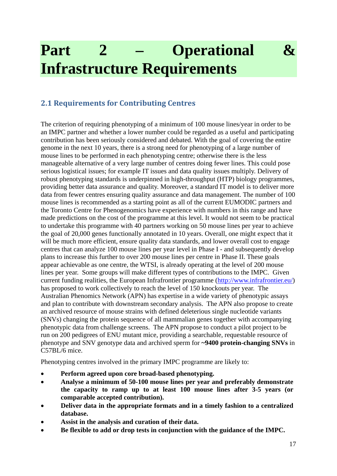# **Part 2 – Operational & Infrastructure Requirements**

# **2.1 Requirements for Contributing Centres**

The criterion of requiring phenotyping of a minimum of 100 mouse lines/year in order to be an IMPC partner and whether a lower number could be regarded as a useful and participating contribution has been seriously considered and debated. With the goal of covering the entire genome in the next 10 years, there is a strong need for phenotyping of a large number of mouse lines to be performed in each phenotyping centre; otherwise there is the less manageable alternative of a very large number of centres doing fewer lines. This could pose serious logistical issues; for example IT issues and data quality issues multiply. Delivery of robust phenotyping standards is underpinned in high-throughput (HTP) biology programmes, providing better data assurance and quality. Moreover, a standard IT model is to deliver more data from fewer centres ensuring quality assurance and data management. The number of 100 mouse lines is recommended as a starting point as all of the current EUMODIC partners and the Toronto Centre for Phenogenomics have experience with numbers in this range and have made predictions on the cost of the programme at this level. It would not seem to be practical to undertake this programme with 40 partners working on 50 mouse lines per year to achieve the goal of 20,000 genes functionally annotated in 10 years. Overall, one might expect that it will be much more efficient, ensure quality data standards, and lower overall cost to engage centres that can analyze 100 mouse lines per year level in Phase I - and subsequently develop plans to increase this further to over 200 mouse lines per centre in Phase II. These goals appear achievable as one centre, the WTSI, is already operating at the level of 200 mouse lines per year. Some groups will make different types of contributions to the IMPC. Given current funding realities, the European Infrafrontier programme [\(http://www.infrafrontier.eu/\)](http://www.infrafrontier.eu/) has proposed to work collectively to reach the level of 150 knockouts per year. The Australian Phenomics Network (APN) has expertise in a wide variety of phenotypic assays and plan to contribute with downstream secondary analysis. The APN also propose to create an archived resource of mouse strains with defined deleterious single nucleotide variants (SNVs) changing the protein sequence of all mammalian genes together with accompanying phenotypic data from challenge screens. The APN propose to conduct a pilot project to be run on 200 pedigrees of ENU mutant mice, providing a searchable, requestable resource of phenotype and SNV genotype data and archived sperm for **~9400 protein-changing SNVs** in C57BL/6 mice.

Phenotyping centres involved in the primary IMPC programme are likely to:

- **Perform agreed upon core broad-based phenotyping.**
- **Analyse a minimum of 50-100 mouse lines per year and preferably demonstrate the capacity to ramp up to at least 100 mouse lines after 3-5 years (or comparable accepted contribution).**
- **Deliver data in the appropriate formats and in a timely fashion to a centralized database.**
- **Assist in the analysis and curation of their data.**
- **Be flexible to add or drop tests in conjunction with the guidance of the IMPC.**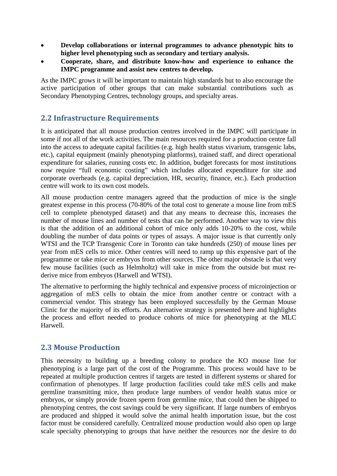- **Develop collaborations or internal programmes to advance phenotypic hits to higher level phenotyping such as secondary and tertiary analysis.**
- **Cooperate, share, and distribute know-how and experience to enhance the IMPC programme and assist new centres to develop.**

As the IMPC grows it will be important to maintain high standards but to also encourage the active participation of other groups that can make substantial contributions such as Secondary Phenotyping Centres, technology groups, and specialty areas.

# **2.2 Infrastructure Requirements**

It is anticipated that all mouse production centres involved in the IMPC will participate in some if not all of the work activities. The main resources required for a production centre fall into the access to adequate capital facilities (e.g. high health status vivarium, transgenic labs, etc.), capital equipment (mainly phenotyping platforms), trained staff, and direct operational expenditure for salaries, running costs etc. In addition, budget forecasts for most institutions now require "full economic costing" which includes allocated expenditure for site and corporate overheads (e.g. capital depreciation, HR, security, finance, etc.). Each production centre will work to its own cost models.

All mouse production centre managers agreed that the production of mice is the single greatest expense in this process (70-80% of the total cost to generate a mouse line from mES cell to complete phenotyped dataset) and that any means to decrease this, increases the number of mouse lines and number of tests that can be performed. Another way to view this is that the addition of an additional cohort of mice only adds 10-20% to the cost, while doubling the number of data points or types of assays. A major issue is that currently only WTSI and the TCP Transgenic Core in Toronto can take hundreds (250) of mouse lines per year from mES cells to mice. Other centres will need to ramp up this expensive part of the programme or take mice or embryos from other sources. The other major obstacle is that very few mouse facilities (such as Helmholtz) will take in mice from the outside but must rederive mice from embryos (Harwell and WTSI).

The alternative to performing the highly technical and expensive process of microinjection or aggregation of mES cells to obtain the mice from another centre or contract with a commercial vendor. This strategy has been employed successfully by the German Mouse Clinic for the majority of its efforts. An alternative strategy is presented here and highlights the process and effort needed to produce cohorts of mice for phenotyping at the MLC Harwell.

# **2.3 Mouse Production**

This necessity to building up a breeding colony to produce the KO mouse line for phenotyping is a large part of the cost of the Programme. This process would have to be repeated at multiple production centres if targets are tested in different systems or shared for confirmation of phenotypes. If large production facilities could take mES cells and make germline transmitting mice, then produce large numbers of vendor health status mice or embryos, or simply provide frozen sperm from germline mice, that could then be shipped to phenotyping centres, the cost savings could be very significant. If large numbers of embryos are produced and shipped it would solve the animal health importation issue, but the cost factor must be considered carefully. Centralized mouse production would also open up large scale specialty phenotyping to groups that have neither the resources nor the desire to do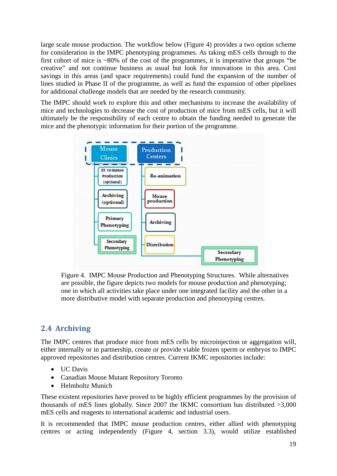large scale mouse production. The workflow below (Figure 4) provides a two option scheme for consideration in the IMPC phenotyping programmes. As taking mES cells through to the first cohort of mice is ~80% of the cost of the programmes, it is imperative that groups "be creative" and not continue business as usual but look for innovations in this area. Cost savings in this areas (and space requirements) could fund the expansion of the number of lines studied in Phase II of the programme, as well as fund the expansion of other pipelines for additional challenge models that are needed by the research community.

The IMPC should work to explore this and other mechanisms to increase the availability of mice and technologies to decrease the cost of production of mice from mES cells, but it will ultimately be the responsibility of each centre to obtain the funding needed to generate the mice and the phenotypic information for their portion of the programme.



Figure 4. IMPC Mouse Production and Phenotyping Structures. While alternatives are possible, the figure depicts two models for mouse production and phenotyping; one in which all activities take place under one integrated facility and the other in a more distributive model with separate production and phenotyping centres.

# **2.4 Archiving**

The IMPC centres that produce mice from mES cells by microinjection or aggregation will, either internally or in partnership, create or provide viable frozen sperm or embryos to IMPC approved repositories and distribution centres. Current IKMC repositories include:

- UC Davis
- Canadian Mouse Mutant Repository Toronto
- Helmholtz Munich

These existent repositories have proved to be highly efficient programmes by the provision of thousands of mES lines globally. Since 2007 the IKMC consortium has distributed >3,000 mES cells and reagents to international academic and industrial users.

It is recommended that IMPC mouse production centres, either allied with phenotyping centres or acting independently (Figure 4, section 3.3), would utilize established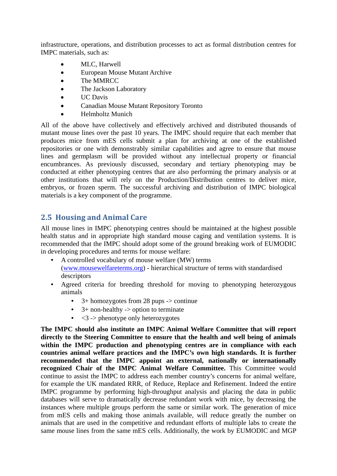infrastructure, operations, and distribution processes to act as formal distribution centres for IMPC materials, such as:

- MLC, Harwell
- European Mouse Mutant Archive
- The MMRCC
- The Jackson Laboratory
- UC Davis
- Canadian Mouse Mutant Repository Toronto
- Helmholtz Munich

All of the above have collectively and effectively archived and distributed thousands of mutant mouse lines over the past 10 years. The IMPC should require that each member that produces mice from mES cells submit a plan for archiving at one of the established repositories or one with demonstrably similar capabilities and agree to ensure that mouse lines and germplasm will be provided without any intellectual property or financial encumbrances. As previously discussed, secondary and tertiary phenotyping may be conducted at either phenotyping centres that are also performing the primary analysis or at other institutions that will rely on the Production/Distribution centres to deliver mice, embryos, or frozen sperm. The successful archiving and distribution of IMPC biological materials is a key component of the programme.

# **2.5 Housing and Animal Care**

All mouse lines in IMPC phenotyping centres should be maintained at the highest possible health status and in appropriate high standard mouse caging and ventilation systems. It is recommended that the IMPC should adopt some of the ground breaking work of EUMODIC in developing procedures and terms for mouse welfare:

- A controlled vocabulary of mouse welfare (MW) terms [\(www.mousewelfareterms.org\)](http://www.mousewelfareterms.org/) - hierarchical structure of terms with standardised descriptors
- Agreed criteria for breeding threshold for moving to phenotyping heterozygous animals
	- $3+$  homozygotes from 28 pups  $\rightarrow$  continue
	- $3+$  non-healthy -> option to terminate
	- $\bullet \quad \leq 3 \Rightarrow$  phenotype only heterozygotes

**The IMPC should also institute an IMPC Animal Welfare Committee that will report directly to the Steering Committee to ensure that the health and well being of animals within the IMPC production and phenotyping centres are in compliance with each countries animal welfare practices and the IMPC's own high standards. It is further recommended that the IMPC appoint an external, nationally or internationally recognized Chair of the IMPC Animal Welfare Committee.** This Committee would continue to assist the IMPC to address each member country's concerns for animal welfare, for example the UK mandated RRR, of Reduce, Replace and Refinement. Indeed the entire IMPC programme by performing high-throughput analysis and placing the data in public databases will serve to dramatically decrease redundant work with mice, by decreasing the instances where multiple groups perform the same or similar work. The generation of mice from mES cells and making those animals available, will reduce greatly the number on animals that are used in the competitive and redundant efforts of multiple labs to create the same mouse lines from the same mES cells. Additionally, the work by EUMODIC and MGP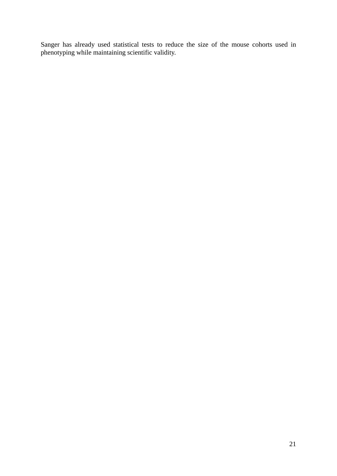Sanger has already used statistical tests to reduce the size of the mouse cohorts used in phenotyping while maintaining scientific validity.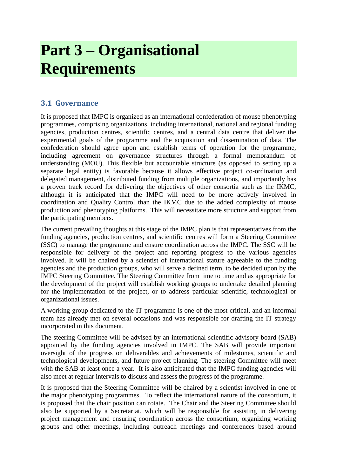# **Part 3 – Organisational Requirements**

# **3.1 Governance**

It is proposed that IMPC is organized as an international confederation of mouse phenotyping programmes, comprising organizations, including international, national and regional funding agencies, production centres, scientific centres, and a central data centre that deliver the experimental goals of the programme and the acquisition and dissemination of data. The confederation should agree upon and establish terms of operation for the programme, including agreement on governance structures through a formal memorandum of understanding (MOU). This flexible but accountable structure (as opposed to setting up a separate legal entity) is favorable because it allows effective project co-ordination and delegated management, distributed funding from multiple organizations, and importantly has a proven track record for delivering the objectives of other consortia such as the IKMC, although it is anticipated that the IMPC will need to be more actively involved in coordination and Quality Control than the IKMC due to the added complexity of mouse production and phenotyping platforms. This will necessitate more structure and support from the participating members.

The current prevailing thoughts at this stage of the IMPC plan is that representatives from the funding agencies, production centres, and scientific centres will form a Steering Committee (SSC) to manage the programme and ensure coordination across the IMPC. The SSC will be responsible for delivery of the project and reporting progress to the various agencies involved. It will be chaired by a scientist of international stature agreeable to the funding agencies and the production groups, who will serve a defined term, to be decided upon by the IMPC Steering Committee. The Steering Committee from time to time and as appropriate for the development of the project will establish working groups to undertake detailed planning for the implementation of the project, or to address particular scientific, technological or organizational issues.

A working group dedicated to the IT programme is one of the most critical, and an informal team has already met on several occasions and was responsible for drafting the IT strategy incorporated in this document.

The steering Committee will be advised by an international scientific advisory board (SAB) appointed by the funding agencies involved in IMPC. The SAB will provide important oversight of the progress on deliverables and achievements of milestones, scientific and technological developments, and future project planning. The steering Committee will meet with the SAB at least once a year. It is also anticipated that the IMPC funding agencies will also meet at regular intervals to discuss and assess the progress of the programme.

It is proposed that the Steering Committee will be chaired by a scientist involved in one of the major phenotyping programmes. To reflect the international nature of the consortium, it is proposed that the chair position can rotate. The Chair and the Steering Committee should also be supported by a Secretariat, which will be responsible for assisting in delivering project management and ensuring coordination across the consortium, organizing working groups and other meetings, including outreach meetings and conferences based around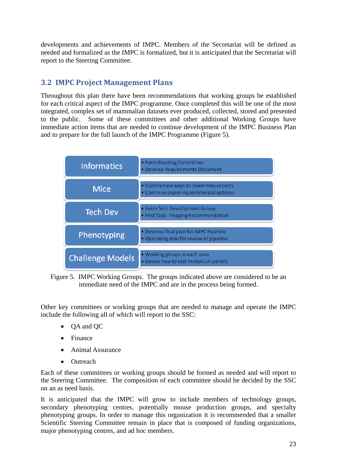developments and achievements of IMPC. Members of the Secretariat will be defined as needed and formalized as the IMPC is formalized, but it is anticipated that the Secretariat will report to the Steering Committee.

# **3.2 IMPC Project Management Plans**

Throughout this plan there have been recommendations that working groups be established for each critical aspect of the IMPC programme. Once completed this will be one of the most integrated, complex set of mammalian datasets ever produced, collected, stored and presented to the public. Some of these committees and other additional Working Groups have immediate action items that are needed to continue development of the IMPC Business Plan and to prepare for the full launch of the IMPC Programme (Figure 5).

| <b>Informatics</b>      | • Form Steering Committee<br>• Develop Requirements Document                       |
|-------------------------|------------------------------------------------------------------------------------|
| <b>Mice</b>             | • Explore new ways to lower mouse costs<br>• Continue exploring commercial options |
| <b>Tech Dev</b>         | • Form Tech Development Group<br>• First Task: Imaging Recommendation              |
| Phenotyping             | • Develop final plan for IMPC Pipeline<br>• Operating plan for review of pipeline  |
| <b>Challenge Models</b> | • Working groups in each area<br>• Devise how to test models at centers            |

Figure 5. IMPC Working Groups. The groups indicated above are considered to be an immediate need of the IMPC and are in the process being formed.

Other key committees or working groups that are needed to manage and operate the IMPC include the following all of which will report to the SSC:

- OA and OC
- Finance
- Animal Assurance
- Outreach

Each of these committees or working groups should be formed as needed and will report to the Steering Committee. The composition of each committee should be decided by the SSC on an as need basis.

It is anticipated that the IMPC will grow to include members of technology groups, secondary phenotyping centres, potentially mouse production groups, and specialty phenotyping groups. In order to manage this organization it is recommended that a smaller Scientific Steering Committee remain in place that is composed of funding organizations, major phenotyping centres, and ad hoc members.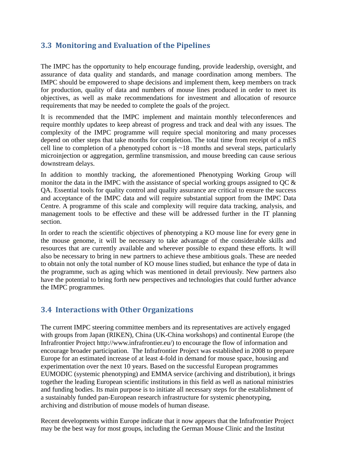# **3.3 Monitoring and Evaluation of the Pipelines**

The IMPC has the opportunity to help encourage funding, provide leadership, oversight, and assurance of data quality and standards, and manage coordination among members. The IMPC should be empowered to shape decisions and implement them, keep members on track for production, quality of data and numbers of mouse lines produced in order to meet its objectives, as well as make recommendations for investment and allocation of resource requirements that may be needed to complete the goals of the project.

It is recommended that the IMPC implement and maintain monthly teleconferences and require monthly updates to keep abreast of progress and track and deal with any issues. The complexity of the IMPC programme will require special monitoring and many processes depend on other steps that take months for completion. The total time from receipt of a mES cell line to completion of a phenotyped cohort is  $\sim$ 18 months and several steps, particularly microinjection or aggregation, germline transmission, and mouse breeding can cause serious downstream delays.

In addition to monthly tracking, the aforementioned Phenotyping Working Group will monitor the data in the IMPC with the assistance of special working groups assigned to QC & QA. Essential tools for quality control and quality assurance are critical to ensure the success and acceptance of the IMPC data and will require substantial support from the IMPC Data Centre. A programme of this scale and complexity will require data tracking, analysis, and management tools to be effective and these will be addressed further in the IT planning section.

In order to reach the scientific objectives of phenotyping a KO mouse line for every gene in the mouse genome, it will be necessary to take advantage of the considerable skills and resources that are currently available and wherever possible to expand these efforts. It will also be necessary to bring in new partners to achieve these ambitious goals. These are needed to obtain not only the total number of KO mouse lines studied, but enhance the type of data in the programme, such as aging which was mentioned in detail previously. New partners also have the potential to bring forth new perspectives and technologies that could further advance the IMPC programmes.

# **3.4 Interactions with Other Organizations**

The current IMPC steering committee members and its representatives are actively engaged with groups from Japan (RIKEN), China (UK-China workshops) and continental Europe (the Infrafrontier Project http://www.infrafrontier.eu/) to encourage the flow of information and encourage broader participation. The Infrafrontier Project was established in 2008 to prepare Europe for an estimated increase of at least 4-fold in demand for mouse space, housing and experimentation over the next 10 years. Based on the successful European programmes EUMODIC (systemic phenotyping) and EMMA service (archiving and distribution), it brings together the leading European scientific institutions in this field as well as national ministries and funding bodies. Its main purpose is to initiate all necessary steps for the establishment of a sustainably funded pan-European research infrastructure for systemic phenotyping, archiving and distribution of mouse models of human disease.

Recent developments within Europe indicate that it now appears that the Infrafrontier Project may be the best way for most groups, including the German Mouse Clinic and the Institut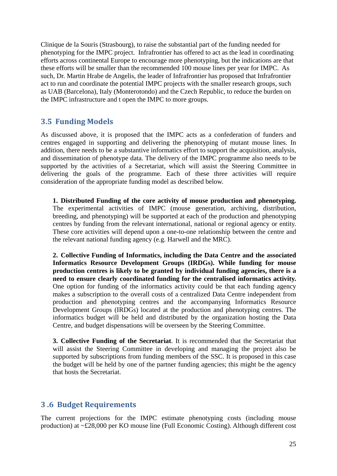Clinique de la Souris (Strasbourg), to raise the substantial part of the funding needed for phenotyping for the IMPC project. Infrafrontier has offered to act as the lead in coordinating efforts across continental Europe to encourage more phenotyping, but the indications are that these efforts will be smaller than the recommended 100 mouse lines per year for IMPC. As such, Dr. Martin Hrabe de Angelis, the leader of Infrafrontier has proposed that Infrafrontier act to run and coordinate the potential IMPC projects with the smaller research groups, such as UAB (Barcelona), Italy (Monterotondo) and the Czech Republic, to reduce the burden on the IMPC infrastructure and t open the IMPC to more groups.

#### **3.5 Funding Models**

As discussed above, it is proposed that the IMPC acts as a confederation of funders and centres engaged in supporting and delivering the phenotyping of mutant mouse lines. In addition, there needs to be a substantive informatics effort to support the acquisition, analysis, and dissemination of phenotype data. The delivery of the IMPC programme also needs to be supported by the activities of a Secretariat, which will assist the Steering Committee in delivering the goals of the programme. Each of these three activities will require consideration of the appropriate funding model as described below.

**1. Distributed Funding of the core activity of mouse production and phenotyping.**  The experimental activities of IMPC (mouse generation, archiving, distribution, breeding, and phenotyping) will be supported at each of the production and phenotyping centres by funding from the relevant international, national or regional agency or entity. These core activities will depend upon a one-to-one relationship between the centre and the relevant national funding agency (e.g. Harwell and the MRC).

**2. Collective Funding of Informatics, including the Data Centre and the associated Informatics Resource Development Groups (IRDGs). While funding for mouse production centres is likely to be granted by individual funding agencies, there is a need to ensure clearly coordinated funding for the centralised informatics activity.**  One option for funding of the informatics activity could be that each funding agency makes a subscription to the overall costs of a centralized Data Centre independent from production and phenotyping centres and the accompanying Informatics Resource Development Groups (IRDGs) located at the production and phenotyping centres. The informatics budget will be held and distributed by the organization hosting the Data Centre, and budget dispensations will be overseen by the Steering Committee.

**3. Collective Funding of the Secretariat**. It is recommended that the Secretariat that will assist the Steering Committee in developing and managing the project also be supported by subscriptions from funding members of the SSC. It is proposed in this case the budget will be held by one of the partner funding agencies; this might be the agency that hosts the Secretariat.

#### **3 .6 Budget Requirements**

The current projections for the IMPC estimate phenotyping costs (including mouse production) at ~£28,000 per KO mouse line (Full Economic Costing). Although different cost